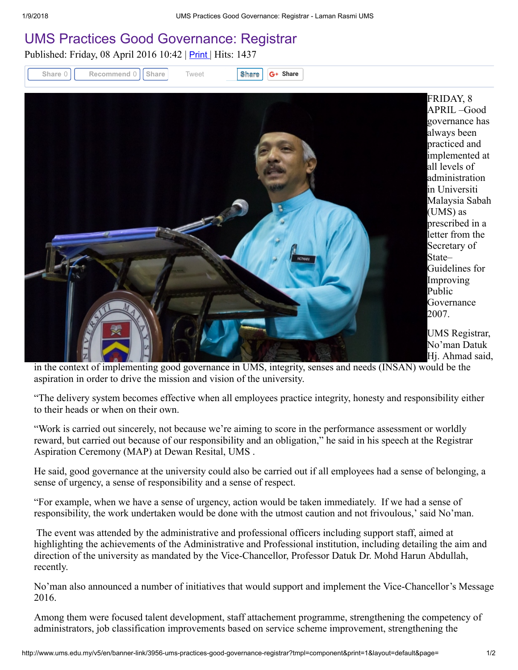## [UMS Practices Good Governance: Registrar](http://www.ums.edu.my/v5/en/banner-link/3956-ums-practices-good-governance-registrar)

Published: Friday, 08 April 2016 10:42 | Print | Hits: 1437



FRIDAY, 8 APRIL –Good governance has always been practiced and implemented at all levels of administration in Universiti Malaysia Sabah (UMS) as prescribed in a letter from the Secretary of Guidelines for Improving Governance

UMS Registrar, No'man Datuk Hj. Ahmad said,

in the context of implementing good governance in UMS, integrity, senses and needs (INSAN) would be the aspiration in order to drive the mission and vision of the university.

"The delivery system becomes effective when all employees practice integrity, honesty and responsibility either to their heads or when on their own.

"Work is carried out sincerely, not because we're aiming to score in the performance assessment or worldly reward, but carried out because of our responsibility and an obligation," he said in his speech at the Registrar Aspiration Ceremony (MAP) at Dewan Resital, UMS .

He said, good governance at the university could also be carried out if all employees had a sense of belonging, a sense of urgency, a sense of responsibility and a sense of respect.

"For example, when we have a sense of urgency, action would be taken immediately. If we had a sense of responsibility, the work undertaken would be done with the utmost caution and not frivoulous,' said No'man.

The event was attended by the administrative and professional officers including support staff, aimed at highlighting the achievements of the Administrative and Professional institution, including detailing the aim and direction of the university as mandated by the Vice-Chancellor, Professor Datuk Dr. Mohd Harun Abdullah, recently.

No'man also announced a number of initiatives that would support and implement the Vice-Chancellor's Message 2016.

Among them were focused talent development, staff attachement programme, strengthening the competency of administrators, job classification improvements based on service scheme improvement, strengthening the